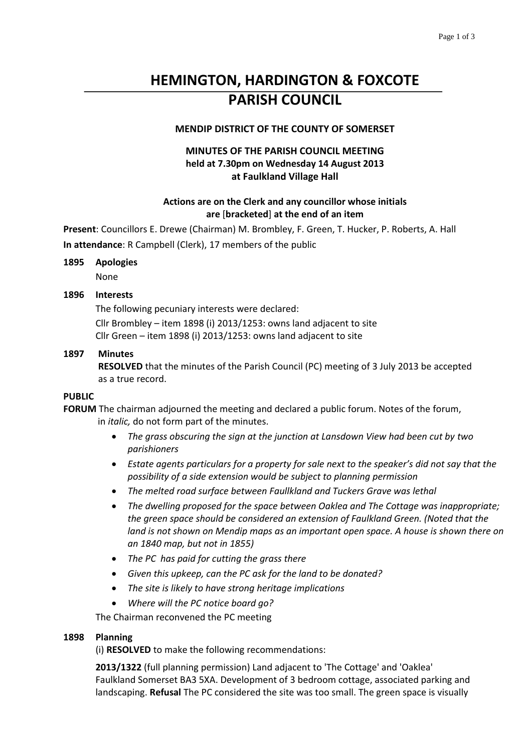# **HEMINGTON, HARDINGTON & FOXCOTE PARISH COUNCIL**

# **MENDIP DISTRICT OF THE COUNTY OF SOMERSET**

# **MINUTES OF THE PARISH COUNCIL MEETING held at 7.30pm on Wednesday 14 August 2013 at Faulkland Village Hall**

## **Actions are on the Clerk and any councillor whose initials are** [**bracketed**] **at the end of an item**

**Present**: Councillors E. Drewe (Chairman) M. Brombley, F. Green, T. Hucker, P. Roberts, A. Hall

**In attendance**: R Campbell (Clerk), 17 members of the public

#### **1895 Apologies**

None

### **1896 Interests**

The following pecuniary interests were declared: Cllr Brombley – item 1898 (i) 2013/1253: owns land adjacent to site Cllr Green – item 1898 (i) 2013/1253: owns land adjacent to site

### **1897 Minutes**

**RESOLVED** that the minutes of the Parish Council (PC) meeting of 3 July 2013 be accepted as a true record.

#### **PUBLIC**

**FORUM** The chairman adjourned the meeting and declared a public forum. Notes of the forum, in *italic,* do not form part of the minutes.

- *The grass obscuring the sign at the junction at Lansdown View had been cut by two parishioners*
- *Estate agents particulars for a property for sale next to the speaker's did not say that the possibility of a side extension would be subject to planning permission*
- *The melted road surface between Faullkland and Tuckers Grave was lethal*
- *The dwelling proposed for the space between Oaklea and The Cottage was inappropriate; the green space should be considered an extension of Faulkland Green. (Noted that the land is not shown on Mendip maps as an important open space. A house is shown there on an 1840 map, but not in 1855)*
- *The PC has paid for cutting the grass there*
- *Given this upkeep, can the PC ask for the land to be donated?*
- *The site is likely to have strong heritage implications*
- *Where will the PC notice board go?*

The Chairman reconvened the PC meeting

# **1898 Planning**

(i) **RESOLVED** to make the following recommendations:

**2013/1322** (full planning permission) Land adjacent to 'The Cottage' and 'Oaklea' Faulkland Somerset BA3 5XA. Development of 3 bedroom cottage, associated parking and landscaping. **Refusal** The PC considered the site was too small. The green space is visually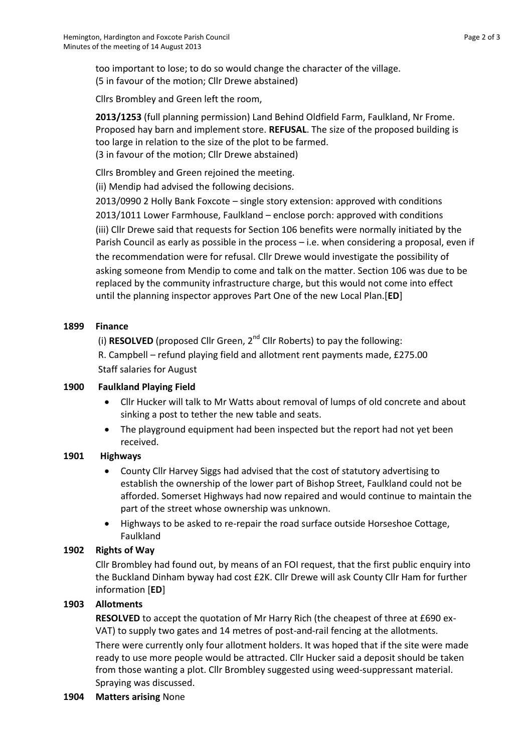too important to lose; to do so would change the character of the village. (5 in favour of the motion; Cllr Drewe abstained)

Cllrs Brombley and Green left the room,

**2013/1253** (full planning permission) Land Behind Oldfield Farm, Faulkland, Nr Frome. Proposed hay barn and implement store. **REFUSAL**. The size of the proposed building is too large in relation to the size of the plot to be farmed. (3 in favour of the motion; Cllr Drewe abstained)

Cllrs Brombley and Green rejoined the meeting.

(ii) Mendip had advised the following decisions.

2013/0990 2 Holly Bank Foxcote – single story extension: approved with conditions 2013/1011 Lower Farmhouse, Faulkland – enclose porch: approved with conditions (iii) Cllr Drewe said that requests for Section 106 benefits were normally initiated by the Parish Council as early as possible in the process – i.e. when considering a proposal, even if the recommendation were for refusal. Cllr Drewe would investigate the possibility of asking someone from Mendip to come and talk on the matter. Section 106 was due to be replaced by the community infrastructure charge, but this would not come into effect until the planning inspector approves Part One of the new Local Plan.[**ED**]

# **1899 Finance**

(i) **RESOLVED** (proposed Cllr Green, 2nd Cllr Roberts) to pay the following: R. Campbell – refund playing field and allotment rent payments made, £275.00 Staff salaries for August

# **1900 Faulkland Playing Field**

- Cllr Hucker will talk to Mr Watts about removal of lumps of old concrete and about sinking a post to tether the new table and seats.
- The playground equipment had been inspected but the report had not yet been received.

# **1901 Highways**

- County Cllr Harvey Siggs had advised that the cost of statutory advertising to establish the ownership of the lower part of Bishop Street, Faulkland could not be afforded. Somerset Highways had now repaired and would continue to maintain the part of the street whose ownership was unknown.
- Highways to be asked to re-repair the road surface outside Horseshoe Cottage, Faulkland

# **1902 Rights of Way**

Cllr Brombley had found out, by means of an FOI request, that the first public enquiry into the Buckland Dinham byway had cost £2K. Cllr Drewe will ask County Cllr Ham for further information [**ED**]

# **1903 Allotments**

**RESOLVED** to accept the quotation of Mr Harry Rich (the cheapest of three at £690 ex-VAT) to supply two gates and 14 metres of post-and-rail fencing at the allotments.

There were currently only four allotment holders. It was hoped that if the site were made ready to use more people would be attracted. Cllr Hucker said a deposit should be taken from those wanting a plot. Cllr Brombley suggested using weed-suppressant material. Spraying was discussed.

# **1904 Matters arising** None